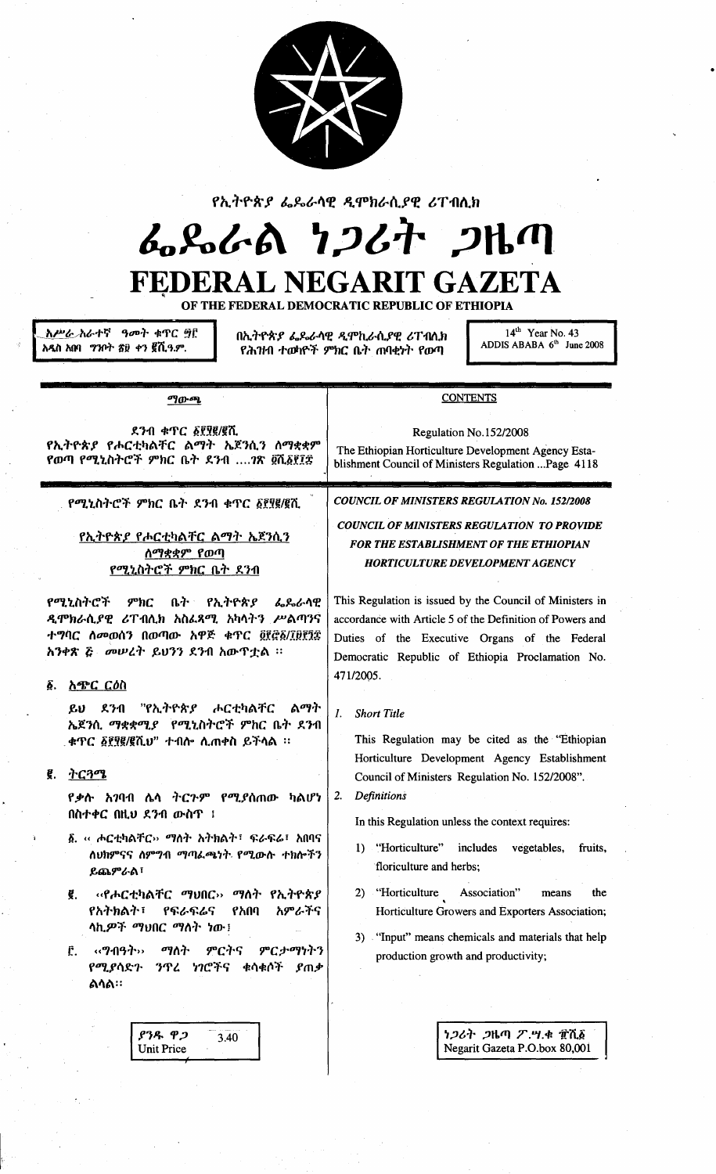

# የኢትዮጵያ ፌዴራሳዊ ዲሞክራሲያዊ ሪፐብሲክ

# んらんめ りつびれ つみの

# **FEDERAL NEGARI T GAZETA**

OF THE FEDERAL DEMOCRATIC REPUBLIC OF ETHIOPIA

*እሥ<u>ራ</u> አ*ራተኛ ዓመት ቁጥር ፵፫ አዲስ አበባ ግንቦት ሸ፱ ቀን ፪ሺዓ.ም.

በኢትዮጵያ ፌዶራላዊ ዲሞኪራሲያዊ ሪፐብሲክ የሕዝብ ተወካዮች ምክር ቤት ጠባቂነት የውጣ

 $14<sup>th</sup>$  Year No. 43<br>ADDIS ABABA  $6<sup>th</sup>$  June 2008

| ማውጫ                                                                                                                                                                                                                                                                        | <b>CONTENTS</b>                                                                                                                                                                                                                         |
|----------------------------------------------------------------------------------------------------------------------------------------------------------------------------------------------------------------------------------------------------------------------------|-----------------------------------------------------------------------------------------------------------------------------------------------------------------------------------------------------------------------------------------|
| ደንብ ቁጥር ፩፻፶፪/፪ሺ<br>የኢትዮጵያ የሖርቲካልቸር ልማት ኤጀንሲን ሰማቋቋም<br>የወጣ የሚኒስትሮች ምክር ቤት ደንብ ?ጽ ፬ሺ፩፻፲፰                                                                                                                                                                                     | Regulation No.152/2008<br>The Ethiopian Horticulture Development Agency Esta-<br>blishment Council of Ministers Regulation Page 4118                                                                                                    |
| የሚኒስትሮች ምክር ቤት ደንብ ቁጥር ፩፻፶፪/፪ሺ<br>የኢ <u>ትዮጵያ የ</u> ሖርቲካልቸር ልማት ኤጀንሲን<br><b>ስማቋቋም የወ</b> ጣ<br><u>የሚኒስትሮች ምክር ቤት ደንብ</u>                                                                                                                                                     | <b>COUNCIL OF MINISTERS REGULATION No. 152/2008</b><br><b>COUNCIL OF MINISTERS REGULATION TO PROVIDE</b><br><b>FOR THE ESTABLISHMENT OF THE ETHIOPIAN</b><br><b>HORTICULTURE DEVELOPMENT AGENCY</b>                                     |
| የሚኒስትሮች<br>ምክር<br>ቤት የኢትዮጵያ ፌጼራሳዊ<br>ዲሞክራሲያዊ ሪፐብሊክ አስፌጻሚ አካሳትን ሥልጣንና<br>ተግባር ስመወሰን በወጣው አዋጅ ቁጥር ፬፻፸፩/፲፱፻፺፰<br>አንቀጽ ሯ መሠረት ይህንን ደንብ አውዋቷል ፡፡                                                                                                                                | This Regulation is issued by the Council of Ministers in<br>accordance with Article 5 of the Definition of Powers and<br>Duties of the Executive Organs of the Federal<br>Democratic Republic of Ethiopia Proclamation No.<br>471/2005. |
| አጭር ርዕስ<br>Ô.<br>"የኢትዮጵያ ሖርቲካልቸር<br>ልማት<br>$\mathbf{u}$<br>ደንብ<br>ኤጀንሲ ማቋቋሚያ የሚኒስትሮች ምክር ቤት ደንብ<br>. ቀጥር ፩፻፶፪/፪ሺህ" ተብሎ ሲጠቀስ ይችሳል ።                                                                                                                                         | <b>Short Title</b><br>1.<br>This Regulation may be cited as the "Ethiopian"<br>Horticulture Development Agency Establishment                                                                                                            |
| ትርጓሜ<br>g.<br><i>የቃ</i> ሱ አንባብ ሴሳ ትር <i>ጉም የሚያ</i> ሰጠው ካልሆነ<br>በስተቀር በዚህ ደንብ ውስጥ ፤<br>፩. ‹‹ ሖርቲካልቸር›› <i>ማ</i> ስት አትክልት፣ ፍራፍሬ፣ አበባና<br>ለህክምናና ስምግብ ማጣራጫነት የሚውሱ ተክሎችን<br>ይጨምራል፣                                                                                             | Council of Ministers Regulation No. 152/2008".<br><b>Definitions</b><br>2.<br>In this Regulation unless the context requires:<br>1) "Horticulture" includes<br>vegetables,<br>fruits.<br>floriculture and herbs;                        |
| ‹‹የሖርቲካልቸር ማህበር›› ማሰት የኢትዮጵያ<br>ĝ.<br>የአትክልት፣<br>አምራችና<br>የፍራፍሬና<br>የአበባ<br>ላኪ <i>ዎች ማህበር ማስት ነ</i> ው!<br>ምርትና<br>$\mathcal{A}$ . $\mathcal{A}$ $\mathcal{A}$ $\mathcal{A}$ $\mathcal{A}$<br>ማስት<br>ምርታማነትን<br>Ē.<br><i>ን</i> ጥረ <i>ነገ</i> ሮችና ቁሳቁሶች ያጠቃ<br>የሚያሳድጉ<br>ልሳል። | 2) "Horticulture<br>Association"<br>the<br>means<br>Horticulture Growers and Exporters Association;<br>3) "Input" means chemicals and materials that help<br>production growth and productivity;                                        |
| ያንዱ ዋጋ<br>3.40<br><b>Unit Price</b>                                                                                                                                                                                                                                        | ነ <i>ጋ</i> ሪት <i>ጋ</i> ዜጣ ፖ.ሣ.ቁ ፹ሺ፩<br>Negarit Gazeta P.O.box 80,001                                                                                                                                                                    |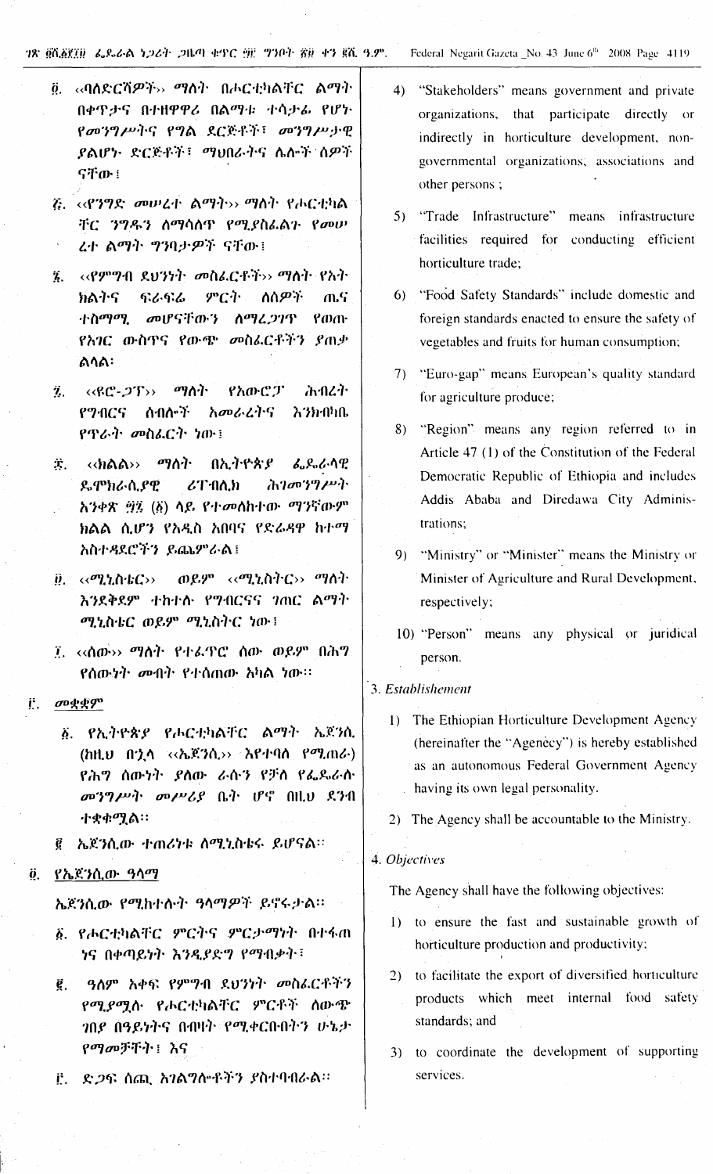#### ገጽ ፬ሺ፩፻፲፱ ፌዶራል ነ*ጋ*ሪት ጋዜጣ ቁጥር ፵፫ ግንቦት ፳፱ ቀን ፪ሺ ዓ.ም.

- Federal Negarit Gazeta \_No. 43 June 6<sup>th</sup> 2008 Page 4119
- ፬. ‹‹ባለድርሻዎች›› ማስት በሖርቲካልቸር ልማት በቀዋታና በተዘዋዋሪ በልማቱ ተሳታፊ የሆኑ የመንግሥትና የግል ደርጅቶች፣ መንግሥታዊ ያልሆኑ ድርጅቶች፣ ማህበራትና ሌሎች ሰዎች ናቸው ፤
- ?. <<**?'ን**ግድ መሠረተ ልማት›› ማስት የሖርቲካል ቸር ንግዱን ስማሳሰጥ የሚያስፌልጉ የመሠ ረተ ልማት ግንባታዎች ናቸው፤
- ፮. ‹‹የምግብ ደህንነት መስፌርቶች›› ማስት የአት ምርት ክልትና ፍራፍሬ ለስ*ዎች* ጤና ተስማሚ መሆናቸውን ስማሬ*ጋገ*ዋ የወጡ የአገር ውስጥና የውጭ መስፌርቶችን ያጠቃ ልሳል፡
- <‹ዩሮ-*ጋ*ፕ›› *ጣ*ለት የአውሮፓ ሕብረት  $\ddot{\mathbf{z}}$ . የማብርና ሰብሎች አመራረትና እንክብካቤ የጥራት መስፌርት ነው፤
- **Т.** <<ክልል›› *ሚ*ስት ብኢትዮጵያ: *ፌ*ዶ ራሳዊ **ይምክራሲያዊ**  $\mathcal{L}$ ፐብሊክ ሕገመንግሥት አንቀጽ ፵፯ (፩) ላይ የተመለከተው ማንኛውም ክልል ሲሆን የአዲስ አበባና የድሬዳዋ ከተማ አስተዳደሮችን ይጨምራል፤
- ወይም ‹‹ሚኒስትር›› ማሰት  $\ddot{\bm{\mathcal{Y}}}. \quad \mathsf{\leftarrow}\mathsf{\leftarrow}\mathsf{\leftarrow}\mathsf{\leftarrow}\mathsf{\leftarrow}\mathsf{\leftarrow}\mathsf{\leftarrow}\mathsf{\leftarrow}\mathsf{\leftarrow}\mathsf{\leftarrow}\mathsf{\leftarrow}\mathsf{\leftarrow}\mathsf{\leftarrow}\mathsf{\leftarrow}\mathsf{\leftarrow}\mathsf{\leftarrow}\mathsf{\leftarrow}\mathsf{\leftarrow}\mathsf{\leftarrow}\mathsf{\leftarrow}\mathsf{\leftarrow}\mathsf{\leftarrow}\mathsf{\leftarrow}\mathsf{\leftarrow}\mathsf{\leftarrow}\mathsf{\leftarrow}\mathsf{\leftarrow}\mathsf{\leftarrow}\mathsf{\leftarrow}\mathsf{\leftarrow}\mathsf{\leftarrow}\mathsf{\leftarrow}\mathsf{\leftarrow}\mathsf{\leftarrow}\$ እንደቅደም ተከተሰ የግብርናና ገጠር ልማት ሚኒስቴር ወይም ሚኒስትር ነው፤
- ፲. ‹‹ሰው›› *ማስት* የተፌዋሮ ሰው ወይም በሕግ የሰውነት መብት የተሰጠው አካል ነው።
- መቋቋም Ë.
	- ፩. የኢትዮጵያ የሖርቲካልቸር ልማት ኤጀንሲ  $\langle hH, \upsilon \mid f' \rangle$ ሳ << $\langle h \mathfrak{K}^2 h \rangle$ >>  $\langle h \mathfrak{K}^2 h \mathfrak{N} \rangle$  ( $\langle \upsilon \rangle$ <u>የሕግ ሰውነት ያለው ራሱን የቻስ የፌ</u>ዴራስ  $\omega$ ?? $\nu$ <sup>2</sup>  $\omega$  $\nu$ 2 $\beta$   $\beta$ <sup>2</sup>  $\nu$ <sup>2</sup>  $\omega$ <sub>2</sub>  $\alpha$ <sub>2</sub>  $\alpha$ ተቋቀሟል።
	- ፪ ኤጀንሲው ተጠሪካቱ ሰሚኒስቴሩ ይሆናል።
- <u>፬. የኤጀንሲው ዓሳማ</u>

ኤጀንሲው የሚከተሱት ዓሳማዎች ይኖሩታል፡፡

- ፩. የሖርቲካልቸር ምርትና ምርታማነት በተፋጠ ነና በቀጣይነት እንዲያድግ የማብቃት፣
- ዓለም አቀፍ የምግብ ደህንነት መስሬርቶችን  $\vec{g}$ . የሚያሚሉ የሖርቲካልቸር ምርቶች ሰውጭ *ገ*በደ በዓይነትና በብዛት የሚቀርቡበትን ሁኔታ የማመቻቸት ፣ እና
- <u>ë. ድ*ጋ*ፍ ሰጪ አንል</u>ማሎቶችን ያስተባብራል።
- $4)$ "Stakeholders" means government and private organizations, that participate directly or indirectly in horticulture development, nongovernmental organizations; associations and other persons;
- 5) "Trade Infrastructure" means infrastructure facilities required for conducting efficient horticulture trade;
- 6) "Food Safety Standards" include domestic and foreign standards enacted to ensure the safety of vegetables and fruits for human consumption;
- 7) "Euro-gap" means European's quality standard for agriculture produce;
- 8) "Region" means any region referred to in Article 47 (1) of the Constitution of the Federal Democratic Republic of Ethiopia and includes Addis Ababa and Diredawa City Administrations:
- 9) "Ministry" or "Minister" means the Ministry or Minister of Agriculture and Rural Development, respectively;
- 10) "Person" means any physical or juridical person.

#### 3. Establishement

- 1) The Ethiopian Horticulture Development Agency (hereinafter the "Agenecy") is hereby established as an autonomous Federal Government Agency having its own legal personality.
- 2) The Agency shall be accountable to the Ministry.

#### 4. Objectives

The Agency shall have the following objectives:

- 1) to ensure the fast and sustainable growth of horticulture production and productivity;
- 2) to facilitate the export of diversified horticulture products which meet internal food safety standards; and
- 3) to coordinate the development of supporting services.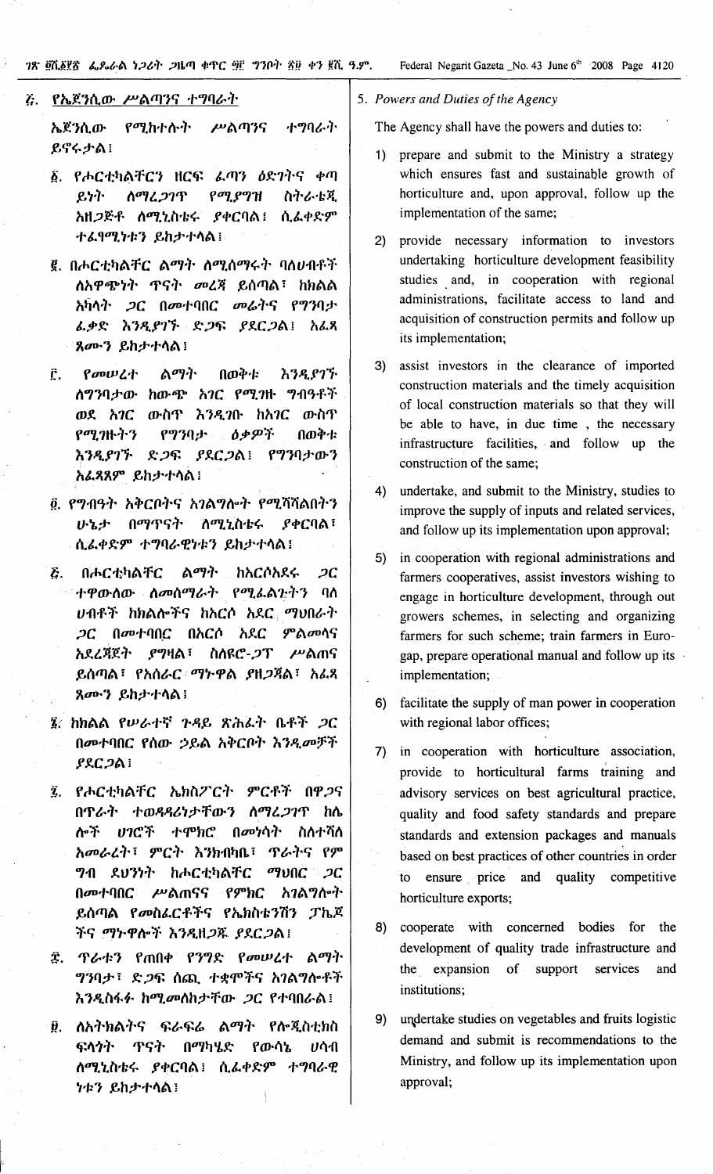ገጽ ፬ሺ፩፻፳ ፌዶራል ነጋሪት ጋዜጣ ቀጥር ፵፫ ግንቦት ፳፱ ቀን ፪ሺ ዓ.ም.

Federal Negarit Gazeta \_No. 43 June 6<sup>th</sup> 2008 Page 4120

### <u>ሯ. የኤጀንሲው ሥልጣንና ተግባራት</u>

ኤጀንሲው የሚከተሱት ሥልጣንና ተግባራት ይኖሩታል!

- ፩. የሖርቲካልቸርን ዘርፍ *ሌ*ጣን *ዕ*ድንትና ቀጣ ይነት ስማሬጋገጥ የሚያግዝ ስትራቴጂ አዘጋጅቶ ሰሚኒስቴሩ ያቀርባል፤ ሲፌቀድም ተፌየሚነቱን ይከታተሳል፤
- ፪. በሖርቲካልቸር ልማት ለሚሰማሩት ባለሀብቶች ለአዋጭነት ጥናት መረጃ ይሰጣል፣ ከክልል አካሳት *ጋ*ር በመተባበር መራትና የግንባታ ፌቃድ እንዲያገኙ ድጋፍ ያደርጋል፤ አፌጻ ጸሙን ይከታተሳል!
- በወቅቱ የመሠረተ ልማት እንዲያገኙ Ê. ሰግንባታው ከውጭ አ*ገ*ር የሚገዙ ግብዓቶች ወደ አገር ውስጥ እንዲገቡ ከአገር ውስጥ የሚጋዙትን ዕቃዎች የግንባታ በወቅቱ እንዲያገኙ ድ*ጋ*ፍ ያደር*ጋ*ል፤ የግንባታውን አፊጻጸም ይከታተሳል!
- ፬. የግብዓት አቅርቦትና አገልግሎት የሚሻሻልበትን ሁኔታ በማጥናት ስሚኒስቴሩ **ያቀርባል**፣ ሲፌቀድም ተግባራዊነቱን ይከታተሳል፤
- በሖርቲካልቸር ልማት ከአርሶአደሩ  $\bar{c}$  .  $2C$ ተዋውሰው ስመሰማራት የሚፌል<u>ጉ</u>ትን ባስ ሀብቶች ከክልሎችና ከአርሶ አደር ማህበራት *ጋ*ር በመተባበር በአርሶ አደር ምልመሳና አደረጃጀት ያግዛል፣ ስለዩሮ-*ጋ*ፐ ሥልጠና ይሰጣል፣ የአሰራር ማኮዋል ያዘ*ጋ*ጃል፣ አፌጻ ጸሙን ይከታተሳል!
- 3. ከክልል የሠራተኛ ጉዳይ ጽሕራት ቤቶች *ጋ*ር በመተባበር የሰው ኃይል አቅርቦት እንዲመቻች ያደር*ጋ*ል፤
- የሖርቲካልቸር ኤክስፖርት ምርቶች በዋጋና Ź. በጥራት ተወዳዳሪነታቸውን ስማፈጋገጥ ከሴ ሎች ሀገሮች ተሞክሮ በመነሳት ስስተሻሰ አመራረት፣ ምርት እንክብካቤ፣ ጥራትና የም *ግ*ብ ደህንነት ከሖርቲካልቸር ማህበር *ጋ*ር በመተባበር ሥልጠናና የምክር አገልግሎት ይሰጣል የመስፌርቶችና የኤክስቴንሽን ፓኬጆ ችና ማኮዋሎች እንዲዘጋጁ ያደርጋል፤
- *ፕራቱን የጠበቀ የንግድ የመሠረተ ልማት* Î. *ግን*ባታ፣ ድ*ጋ*ፍ ሰጪ ተቋሞችና አገልግሎቶች እንዲስፋፉ ከሚመለከታቸው ጋር የተባበራል፤
- ፱. ለአትክልትና ፍራፍሬ ልማት የሎጂስቲክስ ፍላጎት ጥናት በማካሄድ የውሳኔ ሀሳብ ስሚኒስቴሩ ያቀርባል፤ ሲፌቀድም ተግባራዊ *ነቱን ይከታተ*ሳል!

5. Powers and Duties of the Agency

The Agency shall have the powers and duties to:

- 1) prepare and submit to the Ministry a strategy which ensures fast and sustainable growth of horticulture and, upon approval, follow up the implementation of the same;
- provide necessary information to investors  $2)$ undertaking horticulture development feasibility studies and, in cooperation with regional administrations, facilitate access to land and acquisition of construction permits and follow up its implementation;
- 3) assist investors in the clearance of imported construction materials and the timely acquisition of local construction materials so that they will be able to have, in due time, the necessary infrastructure facilities, and follow up the construction of the same;
- $4)$ undertake, and submit to the Ministry, studies to improve the supply of inputs and related services, and follow up its implementation upon approval;
- in cooperation with regional administrations and  $5)$ farmers cooperatives, assist investors wishing to engage in horticulture development, through out growers schemes, in selecting and organizing farmers for such scheme; train farmers in Eurogap, prepare operational manual and follow up its implementation;
- facilitate the supply of man power in cooperation  $6)$ with regional labor offices;
- 7) in cooperation with horticulture association, provide to horticultural farms training and advisory services on best agricultural practice, quality and food safety standards and prepare standards and extension packages and manuals based on best practices of other countries in order ensure price and quality competitive  $\mathsf{to}$ horticulture exports;
- cooperate with concerned bodies for the 8) development of quality trade infrastructure and the expansion of support services and institutions;
- 9) undertake studies on vegetables and fruits logistic demand and submit is recommendations to the Ministry, and follow up its implementation upon approval;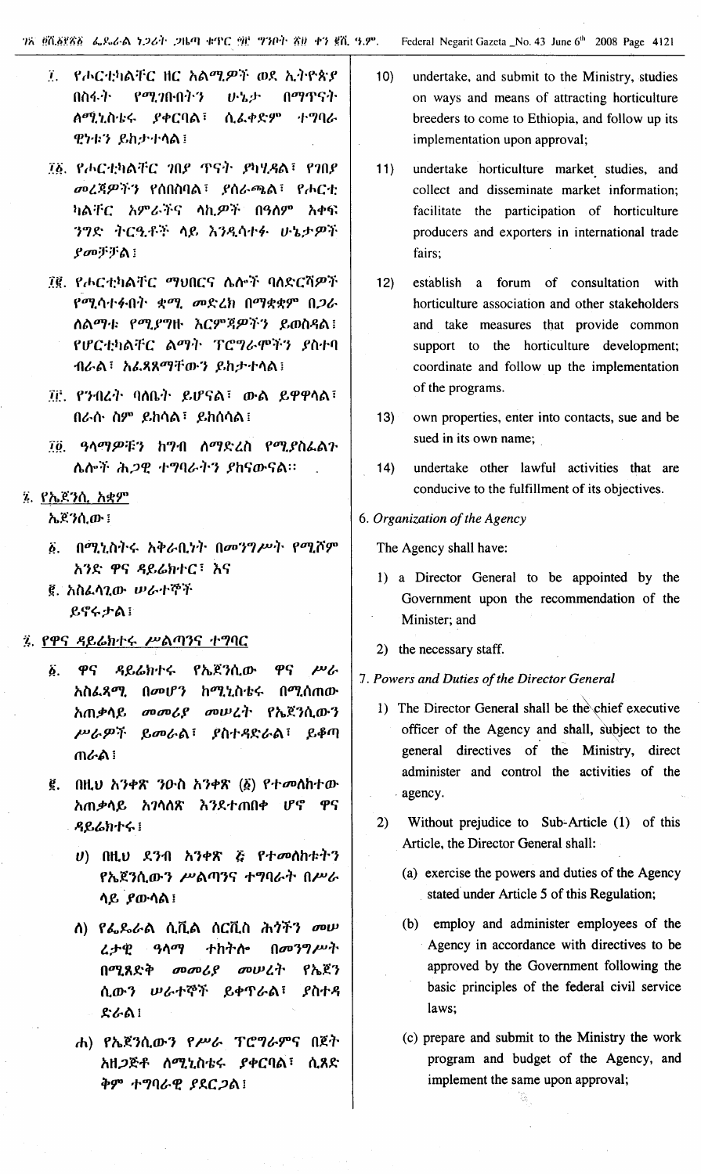- የሖርቲካልቸር ዘር አልሚዎች ወደ ኢትዮጵያ  $\tilde{T}_{\rm eff}$ በስፋት  $199.70 - 0.7 - 3$ ひっとか በማጥናት ለሚኒስቴሩ **ያቀርባል**፣ ሲፌቀድም ナツタム ዊኮቱን ይከታተሳል፤
- ፲፩. የሖርቲካልቸር ገበደ ጥናት ይካሂዳል፣ የገበደ መረጃዎችን የሰበስባል፣ ያሰራጫል፣ የሖርቲ ካልቸር *አ*ምራችና ሳኪ*ዎች* በዓለም አቀፍ ንግድ ትርዒቶች ሳይ እንዲሳተፉ ሁኔታዎች ያመቻቻል!
- ፲፪. የሖርቲካልቸር ማህበርና ሴሎች ባለድርሻዎች የሚሳተፉበት ቋሚ መድረክ በማቋቋም በ*ጋ*ራ ለልማቱ የሚያግዙ እርምጃዎችን ይወስዳል፤ የሆርቲካልቸር ልማት ፐሮግራሞችን ያስተባ ብራል፣ አሬጻጸማቸውን ይከታተሳል፤
- ፲፫ የንብረት ባለቤት ይሆናል፣ ውል ይዋዋላል፣ በራሱ ስም ይከሳል፣ ይከሰሳል፤
- ፲፬. ዓላማዎቹን ከግብ ለማድረስ የሚያስፌልጉ ሌሎች ሕ*ጋዊ ተግባራትን ያ*ከናውናል።
- ጁ የኤጀንሲ አቋም ኤጀንሲው ፤
	- δ. በሚኒስትሩ አቅራቢነት በመንግሥት የሚሾም አንድ ዋና ዳይሬክተር፣ እና
	- ፪. አስፌሳጊው ሥራተኞች ይኖሩታል!
- 3. የዋና ዳይሬክተሩ ሥልጣንና ተግባር
	- $\vec{b}$ . ዋና ዳይሬክተሩ የኤጀንሲው ዋና  $\mu$ አስፌጻሚ በመሆን ከሚኒስቴሩ በሚሰጠው አጠቃሳይ መመሪያ መሠረት የኤጀንሲውን ሥራዎች ይመራል፣ ያስተዳድራል፣ ይቆጣ ጠራል !
	- ፪. በዚህ አንቀጽ ንዑስ አንቀጽ (፩) የተመለከተው አጠቃሳይ አገሳሰጽ እንደተጠበቀ ሆኖ ዋና ዳይሬክተሩ!
		- $U$ ) በዚህ ደንብ አንቀጽ ጅ የተመሰከቱትን የኤጀንሲውን ሥልጣንና ተግባራት በሥራ ላይ ያውሳል !
		- ለ) የፌዴራል ሲቪል ሰርቪስ ሕ*ጎችን መ*ሥ ተከትሎ በመንግሥት くナも ዓላማ በሚጸድቅ  $\omega$   $\omega$ መሠረት የኤጀን ሲውን ሠራተኞች ይቀጥራል፣ ያስተዳ ድራል!
		- ሐ) የኤጀንሲውን የሥራ ፕሮግራምና በጀት አዘ*ጋ*ጅቶ ሰሚኒስቴሩ ያቀርባል፣ ሲጸድ ቅም ተግባራዊ ያደርጋል፤
- undertake, and submit to the Ministry, studies  $10<sub>l</sub>$ on ways and means of attracting horticulture breeders to come to Ethiopia, and follow up its implementation upon approval;
- $11)$ undertake horticulture market studies, and collect and disseminate market information; facilitate the participation of horticulture producers and exporters in international trade fairs:
- $12)$ establish a forum of consultation with horticulture association and other stakeholders and take measures that provide common support to the horticulture development; coordinate and follow up the implementation of the programs.
- $13)$ own properties, enter into contacts, sue and be sued in its own name;
- $14)$ undertake other lawful activities that are conducive to the fulfillment of its objectives.
- 6. Organization of the Agency

The Agency shall have:

- 1) a Director General to be appointed by the Government upon the recommendation of the Minister: and
- 2) the necessary staff.
- 7. Powers and Duties of the Director General
	- 1) The Director General shall be the chief executive officer of the Agency and shall, subject to the general directives of the Ministry, direct administer and control the activities of the agency.
	- Without prejudice to Sub-Article (1) of this  $(2)$ Article, the Director General shall:
		- (a) exercise the powers and duties of the Agency stated under Article 5 of this Regulation;
		- (b) employ and administer employees of the Agency in accordance with directives to be approved by the Government following the basic principles of the federal civil service laws:
		- (c) prepare and submit to the Ministry the work program and budget of the Agency, and implement the same upon approval;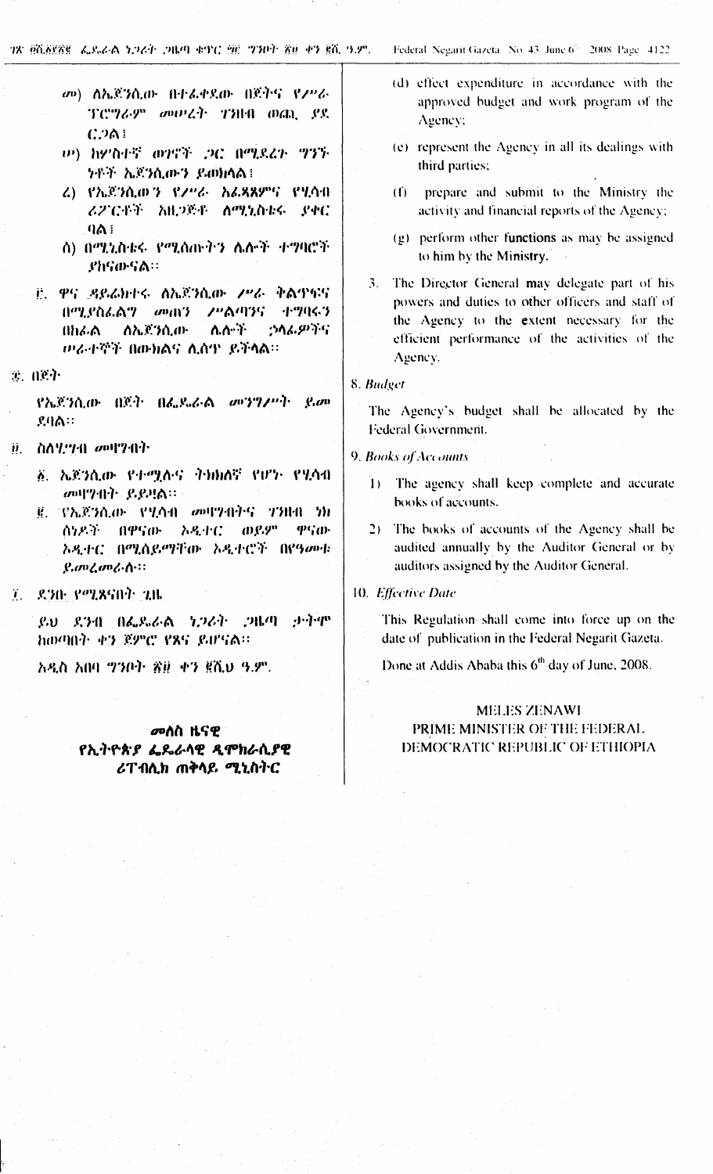- መ) ስኤጀንሲው በተፌቀደው በጀትና የፖሥራ ፕሮግራም መሠረት ገንዘብ ወጪ ያደ  $C.201$
- *い*) ክዎስተኛ ወገኖች ጋር በሚደረጉ ግንኙ ንቶች ኤጀንሲውን ይወክላል፤
- ሬ) የኤጀንሲወ*ን የ*ፖሥራ አሬጻጸምና የሂሳብ ሪፖርቶች አዚጋጅቶ ለሚኒስቴሩ ያቀር  $9A$  :
- ስ) በሚኒስቴሩ የሚሰጡትን ሌሎች ተማባሮች ያክናውናል።
- ij. ዋና ዳይሬክተሩ ለኤጀንሲው *ሥራ* ቅልጥፍና በሚያስፌልግ መጠን ሥልጣንና ተግባሩን በክራል ለኤጀንሲው ለለ ነ ኃሳፊዎችና ወራተኞች በውክልና ሲሰዋ ይችላል።
- 实。ALC:75

የኤጀንሲው በጀት በፌዴራል መንግሥት ይመ ደባል።

- ስለሂማብ መዛግብት  $\ddot{\bm{\theta}}$ ,  $\ddot{\phantom{a}}$ 
	- ፩. ኤጀንሲው የተሟሉና ትክክለኛ የሆኑ የሂሳብ መዛማብት ይይዛል።
	- ፪. የኤጀንሲው የሂሳብ መዛግብትና ገንዘብ ነክ ሰነዶች በዋናው **እዲተር ወይም** ዋናው አዲተር በሚሰይማቸው አዲተሮች በየዓመቱ  $g$ , and and  $\Lambda$  ::
- 7. 8.30. የሚጸናበት 2.ዜ

ይህ ደንብ በፌዴራል ነጋሪት ጋዜጣ ታትሞ ከወጣበት ቀን ጀምሮ የጸና ይሆናል።

አዲስ አበባ ማንቦት ጽ፱ ቀን ፪ሺህ ዓ.ም.

መለስ ዜናዊ የኢትዮጵያ ፌጼራሳዊ ዲሞክራሲያዊ ሪፐብሊክ ጠቅሳይ ሚኒስትር

- (d) effect expenditure in accordance with the approved budget and work program of the Agency;
- (e) represent the Agency in all its dealings with third parties;
- (f) prepare and submit to the Ministry the activity and financial reports of the Agency;
- (g) perform other functions as may be assigned to him by the Ministry.
- 3. The Director General may delegate part of his powers and duties to other officers and staff of the Agency to the extent necessary for the efficient performance of the activities of the Agency.

#### 8. Budget

The Agency's budget shall be allocated by the Federal Government.

- 9. Books of Accounts
	- 1) The agency shall keep complete and accurate books of accounts.
	- 2) The books of accounts of the Agency shall be audited annually by the Auditor General or by auditors assigned by the Auditor General.
- 10. Effective Date

This Regulation shall come into force up on the date of publication in the Federal Negarit Gazeta.

Done at Addis Ababa this 6<sup>th</sup> day of June, 2008.

## **MELES ZENAWI** PRIME MINISTER OF THE FEDERAL DEMOCRATIC REPUBLIC OF ETHIOPIA